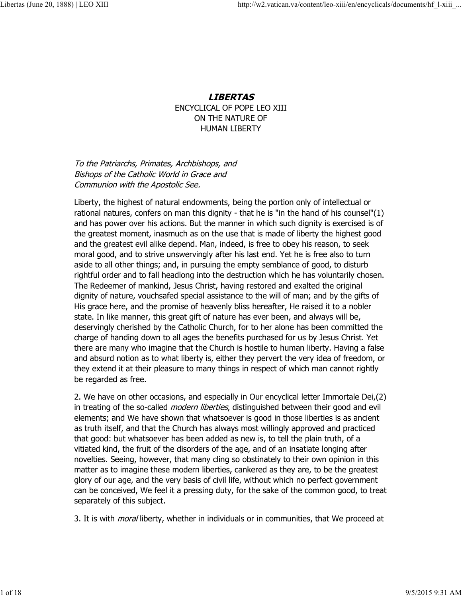## **LIBERTAS** ENCYCLICAL OF POPE LEO XIII ON THE NATURE OF HUMAN LIBERTY

## To the Patriarchs, Primates, Archbishops, and Bishops of the Catholic World in Grace and Communion with the Apostolic See.

Liberty, the highest of natural endowments, being the portion only of intellectual or rational natures, confers on man this dignity - that he is "in the hand of his counsel"(1) and has power over his actions. But the manner in which such dignity is exercised is of the greatest moment, inasmuch as on the use that is made of liberty the highest good and the greatest evil alike depend. Man, indeed, is free to obey his reason, to seek moral good, and to strive unswervingly after his last end. Yet he is free also to turn aside to all other things; and, in pursuing the empty semblance of good, to disturb rightful order and to fall headlong into the destruction which he has voluntarily chosen. The Redeemer of mankind, Jesus Christ, having restored and exalted the original dignity of nature, vouchsafed special assistance to the will of man; and by the gifts of His grace here, and the promise of heavenly bliss hereafter, He raised it to a nobler state. In like manner, this great gift of nature has ever been, and always will be, deservingly cherished by the Catholic Church, for to her alone has been committed the charge of handing down to all ages the benefits purchased for us by Jesus Christ. Yet there are many who imagine that the Church is hostile to human liberty. Having a false and absurd notion as to what liberty is, either they pervert the very idea of freedom, or they extend it at their pleasure to many things in respect of which man cannot rightly be regarded as free.

2. We have on other occasions, and especially in Our encyclical letter Immortale Dei,(2) in treating of the so-called *modern liberties*, distinguished between their good and evil elements; and We have shown that whatsoever is good in those liberties is as ancient as truth itself, and that the Church has always most willingly approved and practiced that good: but whatsoever has been added as new is, to tell the plain truth, of a vitiated kind, the fruit of the disorders of the age, and of an insatiate longing after novelties. Seeing, however, that many cling so obstinately to their own opinion in this matter as to imagine these modern liberties, cankered as they are, to be the greatest glory of our age, and the very basis of civil life, without which no perfect government can be conceived, We feel it a pressing duty, for the sake of the common good, to treat separately of this subject.

3. It is with *moral* liberty, whether in individuals or in communities, that We proceed at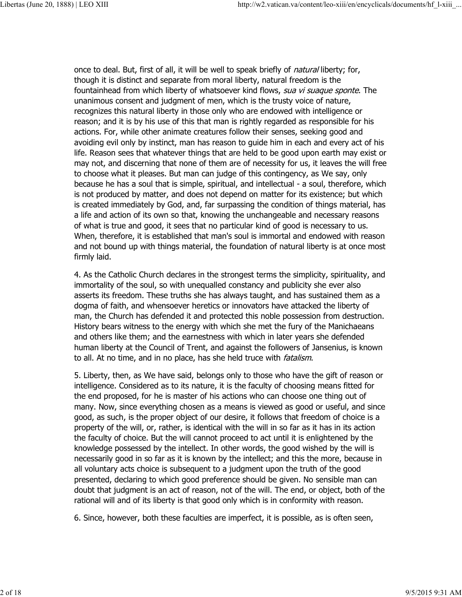once to deal. But, first of all, it will be well to speak briefly of *natural* liberty; for, though it is distinct and separate from moral liberty, natural freedom is the fountainhead from which liberty of whatsoever kind flows, sua vi suaque sponte. The unanimous consent and judgment of men, which is the trusty voice of nature, recognizes this natural liberty in those only who are endowed with intelligence or reason; and it is by his use of this that man is rightly regarded as responsible for his actions. For, while other animate creatures follow their senses, seeking good and avoiding evil only by instinct, man has reason to guide him in each and every act of his life. Reason sees that whatever things that are held to be good upon earth may exist or may not, and discerning that none of them are of necessity for us, it leaves the will free to choose what it pleases. But man can judge of this contingency, as We say, only because he has a soul that is simple, spiritual, and intellectual - a soul, therefore, which is not produced by matter, and does not depend on matter for its existence; but which is created immediately by God, and, far surpassing the condition of things material, has a life and action of its own so that, knowing the unchangeable and necessary reasons of what is true and good, it sees that no particular kind of good is necessary to us. When, therefore, it is established that man's soul is immortal and endowed with reason and not bound up with things material, the foundation of natural liberty is at once most firmly laid.

4. As the Catholic Church declares in the strongest terms the simplicity, spirituality, and immortality of the soul, so with unequalled constancy and publicity she ever also asserts its freedom. These truths she has always taught, and has sustained them as a dogma of faith, and whensoever heretics or innovators have attacked the liberty of man, the Church has defended it and protected this noble possession from destruction. History bears witness to the energy with which she met the fury of the Manichaeans and others like them; and the earnestness with which in later years she defended human liberty at the Council of Trent, and against the followers of Jansenius, is known to all. At no time, and in no place, has she held truce with *fatalism*.

5. Liberty, then, as We have said, belongs only to those who have the gift of reason or intelligence. Considered as to its nature, it is the faculty of choosing means fitted for the end proposed, for he is master of his actions who can choose one thing out of many. Now, since everything chosen as a means is viewed as good or useful, and since good, as such, is the proper object of our desire, it follows that freedom of choice is a property of the will, or, rather, is identical with the will in so far as it has in its action the faculty of choice. But the will cannot proceed to act until it is enlightened by the knowledge possessed by the intellect. In other words, the good wished by the will is necessarily good in so far as it is known by the intellect; and this the more, because in all voluntary acts choice is subsequent to a judgment upon the truth of the good presented, declaring to which good preference should be given. No sensible man can doubt that judgment is an act of reason, not of the will. The end, or object, both of the rational will and of its liberty is that good only which is in conformity with reason.

6. Since, however, both these faculties are imperfect, it is possible, as is often seen,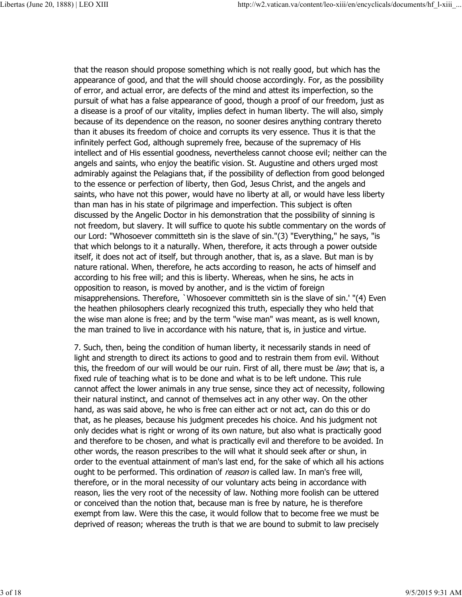that the reason should propose something which is not really good, but which has the appearance of good, and that the will should choose accordingly. For, as the possibility of error, and actual error, are defects of the mind and attest its imperfection, so the pursuit of what has a false appearance of good, though a proof of our freedom, just as a disease is a proof of our vitality, implies defect in human liberty. The will also, simply because of its dependence on the reason, no sooner desires anything contrary thereto than it abuses its freedom of choice and corrupts its very essence. Thus it is that the infinitely perfect God, although supremely free, because of the supremacy of His intellect and of His essential goodness, nevertheless cannot choose evil; neither can the angels and saints, who enjoy the beatific vision. St. Augustine and others urged most admirably against the Pelagians that, if the possibility of deflection from good belonged to the essence or perfection of liberty, then God, Jesus Christ, and the angels and saints, who have not this power, would have no liberty at all, or would have less liberty than man has in his state of pilgrimage and imperfection. This subject is often discussed by the Angelic Doctor in his demonstration that the possibility of sinning is not freedom, but slavery. It will suffice to quote his subtle commentary on the words of our Lord: "Whosoever committeth sin is the slave of sin."(3) "Everything," he says, "is that which belongs to it a naturally. When, therefore, it acts through a power outside itself, it does not act of itself, but through another, that is, as a slave. But man is by nature rational. When, therefore, he acts according to reason, he acts of himself and according to his free will; and this is liberty. Whereas, when he sins, he acts in opposition to reason, is moved by another, and is the victim of foreign misapprehensions. Therefore, `Whosoever committeth sin is the slave of sin.' "(4) Even the heathen philosophers clearly recognized this truth, especially they who held that the wise man alone is free; and by the term "wise man" was meant, as is well known, the man trained to live in accordance with his nature, that is, in justice and virtue.

7. Such, then, being the condition of human liberty, it necessarily stands in need of light and strength to direct its actions to good and to restrain them from evil. Without this, the freedom of our will would be our ruin. First of all, there must be *law*; that is, a fixed rule of teaching what is to be done and what is to be left undone. This rule cannot affect the lower animals in any true sense, since they act of necessity, following their natural instinct, and cannot of themselves act in any other way. On the other hand, as was said above, he who is free can either act or not act, can do this or do that, as he pleases, because his judgment precedes his choice. And his judgment not only decides what is right or wrong of its own nature, but also what is practically good and therefore to be chosen, and what is practically evil and therefore to be avoided. In other words, the reason prescribes to the will what it should seek after or shun, in order to the eventual attainment of man's last end, for the sake of which all his actions ought to be performed. This ordination of reason is called law. In man's free will, therefore, or in the moral necessity of our voluntary acts being in accordance with reason, lies the very root of the necessity of law. Nothing more foolish can be uttered or conceived than the notion that, because man is free by nature, he is therefore exempt from law. Were this the case, it would follow that to become free we must be deprived of reason; whereas the truth is that we are bound to submit to law precisely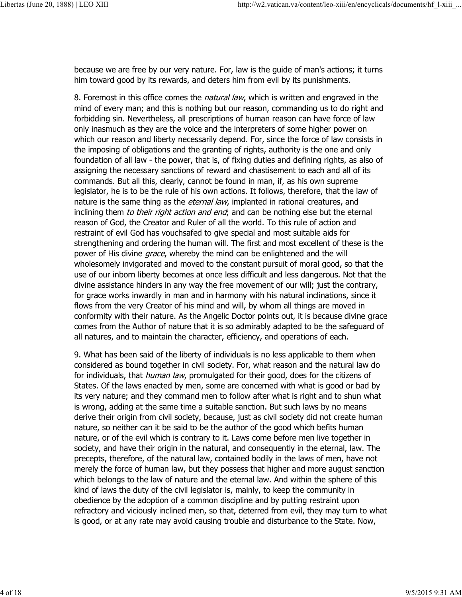because we are free by our very nature. For, law is the guide of man's actions; it turns him toward good by its rewards, and deters him from evil by its punishments.

8. Foremost in this office comes the *natural law*, which is written and engraved in the mind of every man; and this is nothing but our reason, commanding us to do right and forbidding sin. Nevertheless, all prescriptions of human reason can have force of law only inasmuch as they are the voice and the interpreters of some higher power on which our reason and liberty necessarily depend. For, since the force of law consists in the imposing of obligations and the granting of rights, authority is the one and only foundation of all law - the power, that is, of fixing duties and defining rights, as also of assigning the necessary sanctions of reward and chastisement to each and all of its commands. But all this, clearly, cannot be found in man, if, as his own supreme legislator, he is to be the rule of his own actions. It follows, therefore, that the law of nature is the same thing as the *eternal law*, implanted in rational creatures, and inclining them *to their right action and end*; and can be nothing else but the eternal reason of God, the Creator and Ruler of all the world. To this rule of action and restraint of evil God has vouchsafed to give special and most suitable aids for strengthening and ordering the human will. The first and most excellent of these is the power of His divine *grace*, whereby the mind can be enlightened and the will wholesomely invigorated and moved to the constant pursuit of moral good, so that the use of our inborn liberty becomes at once less difficult and less dangerous. Not that the divine assistance hinders in any way the free movement of our will; just the contrary, for grace works inwardly in man and in harmony with his natural inclinations, since it flows from the very Creator of his mind and will, by whom all things are moved in conformity with their nature. As the Angelic Doctor points out, it is because divine grace comes from the Author of nature that it is so admirably adapted to be the safeguard of all natures, and to maintain the character, efficiency, and operations of each.

9. What has been said of the liberty of individuals is no less applicable to them when considered as bound together in civil society. For, what reason and the natural law do for individuals, that *human law*, promulgated for their good, does for the citizens of States. Of the laws enacted by men, some are concerned with what is good or bad by its very nature; and they command men to follow after what is right and to shun what is wrong, adding at the same time a suitable sanction. But such laws by no means derive their origin from civil society, because, just as civil society did not create human nature, so neither can it be said to be the author of the good which befits human nature, or of the evil which is contrary to it. Laws come before men live together in society, and have their origin in the natural, and consequently in the eternal, law. The precepts, therefore, of the natural law, contained bodily in the laws of men, have not merely the force of human law, but they possess that higher and more august sanction which belongs to the law of nature and the eternal law. And within the sphere of this kind of laws the duty of the civil legislator is, mainly, to keep the community in obedience by the adoption of a common discipline and by putting restraint upon refractory and viciously inclined men, so that, deterred from evil, they may turn to what is good, or at any rate may avoid causing trouble and disturbance to the State. Now,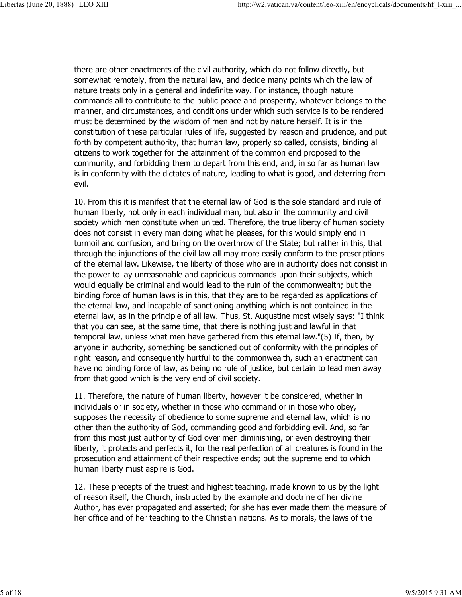there are other enactments of the civil authority, which do not follow directly, but somewhat remotely, from the natural law, and decide many points which the law of nature treats only in a general and indefinite way. For instance, though nature commands all to contribute to the public peace and prosperity, whatever belongs to the manner, and circumstances, and conditions under which such service is to be rendered must be determined by the wisdom of men and not by nature herself. It is in the constitution of these particular rules of life, suggested by reason and prudence, and put forth by competent authority, that human law, properly so called, consists, binding all citizens to work together for the attainment of the common end proposed to the community, and forbidding them to depart from this end, and, in so far as human law is in conformity with the dictates of nature, leading to what is good, and deterring from evil.

10. From this it is manifest that the eternal law of God is the sole standard and rule of human liberty, not only in each individual man, but also in the community and civil society which men constitute when united. Therefore, the true liberty of human society does not consist in every man doing what he pleases, for this would simply end in turmoil and confusion, and bring on the overthrow of the State; but rather in this, that through the injunctions of the civil law all may more easily conform to the prescriptions of the eternal law. Likewise, the liberty of those who are in authority does not consist in the power to lay unreasonable and capricious commands upon their subjects, which would equally be criminal and would lead to the ruin of the commonwealth; but the binding force of human laws is in this, that they are to be regarded as applications of the eternal law, and incapable of sanctioning anything which is not contained in the eternal law, as in the principle of all law. Thus, St. Augustine most wisely says: "I think that you can see, at the same time, that there is nothing just and lawful in that temporal law, unless what men have gathered from this eternal law."(5) If, then, by anyone in authority, something be sanctioned out of conformity with the principles of right reason, and consequently hurtful to the commonwealth, such an enactment can have no binding force of law, as being no rule of justice, but certain to lead men away from that good which is the very end of civil society.

11. Therefore, the nature of human liberty, however it be considered, whether in individuals or in society, whether in those who command or in those who obey, supposes the necessity of obedience to some supreme and eternal law, which is no other than the authority of God, commanding good and forbidding evil. And, so far from this most just authority of God over men diminishing, or even destroying their liberty, it protects and perfects it, for the real perfection of all creatures is found in the prosecution and attainment of their respective ends; but the supreme end to which human liberty must aspire is God.

12. These precepts of the truest and highest teaching, made known to us by the light of reason itself, the Church, instructed by the example and doctrine of her divine Author, has ever propagated and asserted; for she has ever made them the measure of her office and of her teaching to the Christian nations. As to morals, the laws of the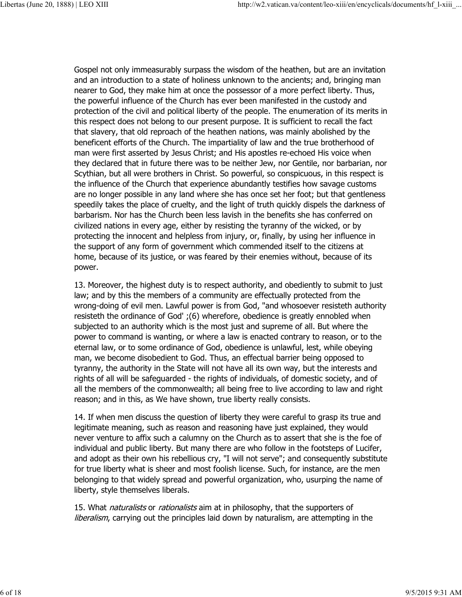Gospel not only immeasurably surpass the wisdom of the heathen, but are an invitation and an introduction to a state of holiness unknown to the ancients; and, bringing man nearer to God, they make him at once the possessor of a more perfect liberty. Thus, the powerful influence of the Church has ever been manifested in the custody and protection of the civil and political liberty of the people. The enumeration of its merits in this respect does not belong to our present purpose. It is sufficient to recall the fact that slavery, that old reproach of the heathen nations, was mainly abolished by the beneficent efforts of the Church. The impartiality of law and the true brotherhood of man were first asserted by Jesus Christ; and His apostles re-echoed His voice when they declared that in future there was to be neither Jew, nor Gentile, nor barbarian, nor Scythian, but all were brothers in Christ. So powerful, so conspicuous, in this respect is the influence of the Church that experience abundantly testifies how savage customs are no longer possible in any land where she has once set her foot; but that gentleness speedily takes the place of cruelty, and the light of truth quickly dispels the darkness of barbarism. Nor has the Church been less lavish in the benefits she has conferred on civilized nations in every age, either by resisting the tyranny of the wicked, or by protecting the innocent and helpless from injury, or, finally, by using her influence in the support of any form of government which commended itself to the citizens at home, because of its justice, or was feared by their enemies without, because of its power.

13. Moreover, the highest duty is to respect authority, and obediently to submit to just law; and by this the members of a community are effectually protected from the wrong-doing of evil men. Lawful power is from God, "and whosoever resisteth authority resisteth the ordinance of God' ;(6) wherefore, obedience is greatly ennobled when subjected to an authority which is the most just and supreme of all. But where the power to command is wanting, or where a law is enacted contrary to reason, or to the eternal law, or to some ordinance of God, obedience is unlawful, lest, while obeying man, we become disobedient to God. Thus, an effectual barrier being opposed to tyranny, the authority in the State will not have all its own way, but the interests and rights of all will be safeguarded - the rights of individuals, of domestic society, and of all the members of the commonwealth; all being free to live according to law and right reason; and in this, as We have shown, true liberty really consists.

14. If when men discuss the question of liberty they were careful to grasp its true and legitimate meaning, such as reason and reasoning have just explained, they would never venture to affix such a calumny on the Church as to assert that she is the foe of individual and public liberty. But many there are who follow in the footsteps of Lucifer, and adopt as their own his rebellious cry, "I will not serve"; and consequently substitute for true liberty what is sheer and most foolish license. Such, for instance, are the men belonging to that widely spread and powerful organization, who, usurping the name of liberty, style themselves liberals.

15. What *naturalists* or *rationalists* aim at in philosophy, that the supporters of liberalism, carrying out the principles laid down by naturalism, are attempting in the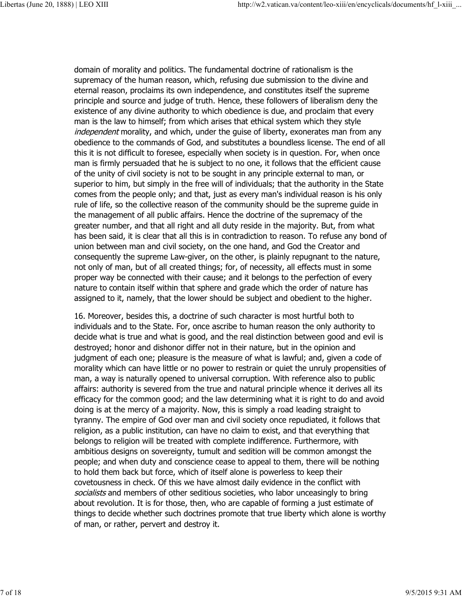domain of morality and politics. The fundamental doctrine of rationalism is the supremacy of the human reason, which, refusing due submission to the divine and eternal reason, proclaims its own independence, and constitutes itself the supreme principle and source and judge of truth. Hence, these followers of liberalism deny the existence of any divine authority to which obedience is due, and proclaim that every man is the law to himself; from which arises that ethical system which they style independent morality, and which, under the guise of liberty, exonerates man from any obedience to the commands of God, and substitutes a boundless license. The end of all this it is not difficult to foresee, especially when society is in question. For, when once man is firmly persuaded that he is subject to no one, it follows that the efficient cause of the unity of civil society is not to be sought in any principle external to man, or superior to him, but simply in the free will of individuals; that the authority in the State comes from the people only; and that, just as every man's individual reason is his only rule of life, so the collective reason of the community should be the supreme guide in the management of all public affairs. Hence the doctrine of the supremacy of the greater number, and that all right and all duty reside in the majority. But, from what has been said, it is clear that all this is in contradiction to reason. To refuse any bond of union between man and civil society, on the one hand, and God the Creator and consequently the supreme Law-giver, on the other, is plainly repugnant to the nature, not only of man, but of all created things; for, of necessity, all effects must in some proper way be connected with their cause; and it belongs to the perfection of every nature to contain itself within that sphere and grade which the order of nature has assigned to it, namely, that the lower should be subject and obedient to the higher.

16. Moreover, besides this, a doctrine of such character is most hurtful both to individuals and to the State. For, once ascribe to human reason the only authority to decide what is true and what is good, and the real distinction between good and evil is destroyed; honor and dishonor differ not in their nature, but in the opinion and judgment of each one; pleasure is the measure of what is lawful; and, given a code of morality which can have little or no power to restrain or quiet the unruly propensities of man, a way is naturally opened to universal corruption. With reference also to public affairs: authority is severed from the true and natural principle whence it derives all its efficacy for the common good; and the law determining what it is right to do and avoid doing is at the mercy of a majority. Now, this is simply a road leading straight to tyranny. The empire of God over man and civil society once repudiated, it follows that religion, as a public institution, can have no claim to exist, and that everything that belongs to religion will be treated with complete indifference. Furthermore, with ambitious designs on sovereignty, tumult and sedition will be common amongst the people; and when duty and conscience cease to appeal to them, there will be nothing to hold them back but force, which of itself alone is powerless to keep their covetousness in check. Of this we have almost daily evidence in the conflict with socialists and members of other seditious societies, who labor unceasingly to bring about revolution. It is for those, then, who are capable of forming a just estimate of things to decide whether such doctrines promote that true liberty which alone is worthy of man, or rather, pervert and destroy it.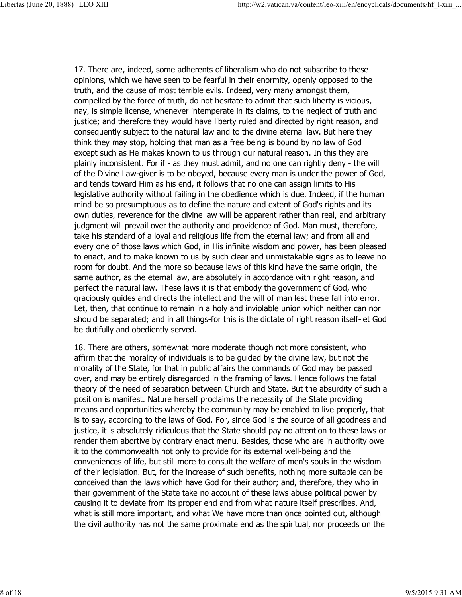17. There are, indeed, some adherents of liberalism who do not subscribe to these opinions, which we have seen to be fearful in their enormity, openly opposed to the truth, and the cause of most terrible evils. Indeed, very many amongst them, compelled by the force of truth, do not hesitate to admit that such liberty is vicious, nay, is simple license, whenever intemperate in its claims, to the neglect of truth and justice; and therefore they would have liberty ruled and directed by right reason, and consequently subject to the natural law and to the divine eternal law. But here they think they may stop, holding that man as a free being is bound by no law of God except such as He makes known to us through our natural reason. In this they are plainly inconsistent. For if - as they must admit, and no one can rightly deny - the will of the Divine Law-giver is to be obeyed, because every man is under the power of God, and tends toward Him as his end, it follows that no one can assign limits to His legislative authority without failing in the obedience which is due. Indeed, if the human mind be so presumptuous as to define the nature and extent of God's rights and its own duties, reverence for the divine law will be apparent rather than real, and arbitrary judgment will prevail over the authority and providence of God. Man must, therefore, take his standard of a loyal and religious life from the eternal law; and from all and every one of those laws which God, in His infinite wisdom and power, has been pleased to enact, and to make known to us by such clear and unmistakable signs as to leave no room for doubt. And the more so because laws of this kind have the same origin, the same author, as the eternal law, are absolutely in accordance with right reason, and perfect the natural law. These laws it is that embody the government of God, who graciously guides and directs the intellect and the will of man lest these fall into error. Let, then, that continue to remain in a holy and inviolable union which neither can nor should be separated; and in all things-for this is the dictate of right reason itself-let God be dutifully and obediently served.

18. There are others, somewhat more moderate though not more consistent, who affirm that the morality of individuals is to be guided by the divine law, but not the morality of the State, for that in public affairs the commands of God may be passed over, and may be entirely disregarded in the framing of laws. Hence follows the fatal theory of the need of separation between Church and State. But the absurdity of such a position is manifest. Nature herself proclaims the necessity of the State providing means and opportunities whereby the community may be enabled to live properly, that is to say, according to the laws of God. For, since God is the source of all goodness and justice, it is absolutely ridiculous that the State should pay no attention to these laws or render them abortive by contrary enact menu. Besides, those who are in authority owe it to the commonwealth not only to provide for its external well-being and the conveniences of life, but still more to consult the welfare of men's souls in the wisdom of their legislation. But, for the increase of such benefits, nothing more suitable can be conceived than the laws which have God for their author; and, therefore, they who in their government of the State take no account of these laws abuse political power by causing it to deviate from its proper end and from what nature itself prescribes. And, what is still more important, and what We have more than once pointed out, although the civil authority has not the same proximate end as the spiritual, nor proceeds on the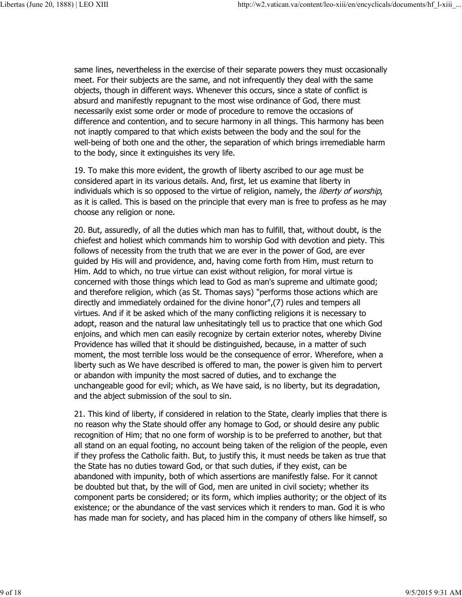same lines, nevertheless in the exercise of their separate powers they must occasionally meet. For their subjects are the same, and not infrequently they deal with the same objects, though in different ways. Whenever this occurs, since a state of conflict is absurd and manifestly repugnant to the most wise ordinance of God, there must necessarily exist some order or mode of procedure to remove the occasions of difference and contention, and to secure harmony in all things. This harmony has been not inaptly compared to that which exists between the body and the soul for the well-being of both one and the other, the separation of which brings irremediable harm to the body, since it extinguishes its very life.

19. To make this more evident, the growth of liberty ascribed to our age must be considered apart in its various details. And, first, let us examine that liberty in individuals which is so opposed to the virtue of religion, namely, the *liberty of worship*, as it is called. This is based on the principle that every man is free to profess as he may choose any religion or none.

20. But, assuredly, of all the duties which man has to fulfill, that, without doubt, is the chiefest and holiest which commands him to worship God with devotion and piety. This follows of necessity from the truth that we are ever in the power of God, are ever guided by His will and providence, and, having come forth from Him, must return to Him. Add to which, no true virtue can exist without religion, for moral virtue is concerned with those things which lead to God as man's supreme and ultimate good; and therefore religion, which (as St. Thomas says) "performs those actions which are directly and immediately ordained for the divine honor",(7) rules and tempers all virtues. And if it be asked which of the many conflicting religions it is necessary to adopt, reason and the natural law unhesitatingly tell us to practice that one which God enjoins, and which men can easily recognize by certain exterior notes, whereby Divine Providence has willed that it should be distinguished, because, in a matter of such moment, the most terrible loss would be the consequence of error. Wherefore, when a liberty such as We have described is offered to man, the power is given him to pervert or abandon with impunity the most sacred of duties, and to exchange the unchangeable good for evil; which, as We have said, is no liberty, but its degradation, and the abject submission of the soul to sin.

21. This kind of liberty, if considered in relation to the State, clearly implies that there is no reason why the State should offer any homage to God, or should desire any public recognition of Him; that no one form of worship is to be preferred to another, but that all stand on an equal footing, no account being taken of the religion of the people, even if they profess the Catholic faith. But, to justify this, it must needs be taken as true that the State has no duties toward God, or that such duties, if they exist, can be abandoned with impunity, both of which assertions are manifestly false. For it cannot be doubted but that, by the will of God, men are united in civil society; whether its component parts be considered; or its form, which implies authority; or the object of its existence; or the abundance of the vast services which it renders to man. God it is who has made man for society, and has placed him in the company of others like himself, so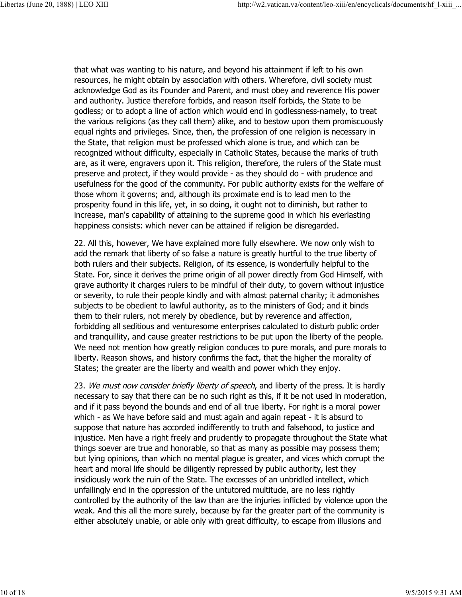that what was wanting to his nature, and beyond his attainment if left to his own resources, he might obtain by association with others. Wherefore, civil society must acknowledge God as its Founder and Parent, and must obey and reverence His power and authority. Justice therefore forbids, and reason itself forbids, the State to be godless; or to adopt a line of action which would end in godlessness-namely, to treat the various religions (as they call them) alike, and to bestow upon them promiscuously equal rights and privileges. Since, then, the profession of one religion is necessary in the State, that religion must be professed which alone is true, and which can be recognized without difficulty, especially in Catholic States, because the marks of truth are, as it were, engravers upon it. This religion, therefore, the rulers of the State must preserve and protect, if they would provide - as they should do - with prudence and usefulness for the good of the community. For public authority exists for the welfare of those whom it governs; and, although its proximate end is to lead men to the prosperity found in this life, yet, in so doing, it ought not to diminish, but rather to increase, man's capability of attaining to the supreme good in which his everlasting happiness consists: which never can be attained if religion be disregarded.

22. All this, however, We have explained more fully elsewhere. We now only wish to add the remark that liberty of so false a nature is greatly hurtful to the true liberty of both rulers and their subjects. Religion, of its essence, is wonderfully helpful to the State. For, since it derives the prime origin of all power directly from God Himself, with grave authority it charges rulers to be mindful of their duty, to govern without injustice or severity, to rule their people kindly and with almost paternal charity; it admonishes subjects to be obedient to lawful authority, as to the ministers of God; and it binds them to their rulers, not merely by obedience, but by reverence and affection, forbidding all seditious and venturesome enterprises calculated to disturb public order and tranquillity, and cause greater restrictions to be put upon the liberty of the people. We need not mention how greatly religion conduces to pure morals, and pure morals to liberty. Reason shows, and history confirms the fact, that the higher the morality of States; the greater are the liberty and wealth and power which they enjoy.

23. We must now consider briefly liberty of speech, and liberty of the press. It is hardly necessary to say that there can be no such right as this, if it be not used in moderation, and if it pass beyond the bounds and end of all true liberty. For right is a moral power which - as We have before said and must again and again repeat - it is absurd to suppose that nature has accorded indifferently to truth and falsehood, to justice and injustice. Men have a right freely and prudently to propagate throughout the State what things soever are true and honorable, so that as many as possible may possess them; but lying opinions, than which no mental plague is greater, and vices which corrupt the heart and moral life should be diligently repressed by public authority, lest they insidiously work the ruin of the State. The excesses of an unbridled intellect, which unfailingly end in the oppression of the untutored multitude, are no less rightly controlled by the authority of the law than are the injuries inflicted by violence upon the weak. And this all the more surely, because by far the greater part of the community is either absolutely unable, or able only with great difficulty, to escape from illusions and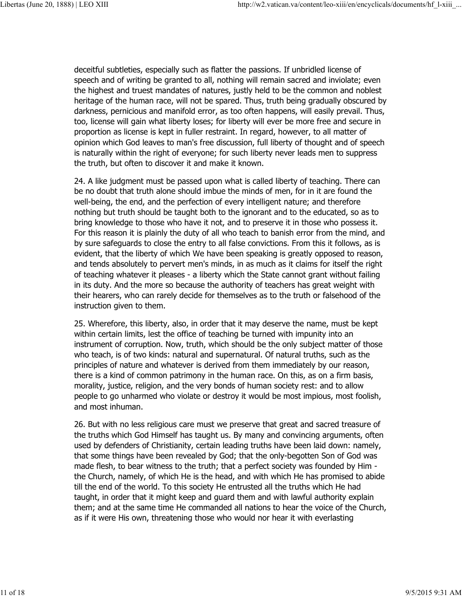deceitful subtleties, especially such as flatter the passions. If unbridled license of speech and of writing be granted to all, nothing will remain sacred and inviolate; even the highest and truest mandates of natures, justly held to be the common and noblest heritage of the human race, will not be spared. Thus, truth being gradually obscured by darkness, pernicious and manifold error, as too often happens, will easily prevail. Thus, too, license will gain what liberty loses; for liberty will ever be more free and secure in proportion as license is kept in fuller restraint. In regard, however, to all matter of opinion which God leaves to man's free discussion, full liberty of thought and of speech is naturally within the right of everyone; for such liberty never leads men to suppress the truth, but often to discover it and make it known.

24. A like judgment must be passed upon what is called liberty of teaching. There can be no doubt that truth alone should imbue the minds of men, for in it are found the well-being, the end, and the perfection of every intelligent nature; and therefore nothing but truth should be taught both to the ignorant and to the educated, so as to bring knowledge to those who have it not, and to preserve it in those who possess it. For this reason it is plainly the duty of all who teach to banish error from the mind, and by sure safeguards to close the entry to all false convictions. From this it follows, as is evident, that the liberty of which We have been speaking is greatly opposed to reason, and tends absolutely to pervert men's minds, in as much as it claims for itself the right of teaching whatever it pleases - a liberty which the State cannot grant without failing in its duty. And the more so because the authority of teachers has great weight with their hearers, who can rarely decide for themselves as to the truth or falsehood of the instruction given to them.

25. Wherefore, this liberty, also, in order that it may deserve the name, must be kept within certain limits, lest the office of teaching be turned with impunity into an instrument of corruption. Now, truth, which should be the only subject matter of those who teach, is of two kinds: natural and supernatural. Of natural truths, such as the principles of nature and whatever is derived from them immediately by our reason, there is a kind of common patrimony in the human race. On this, as on a firm basis, morality, justice, religion, and the very bonds of human society rest: and to allow people to go unharmed who violate or destroy it would be most impious, most foolish, and most inhuman.

26. But with no less religious care must we preserve that great and sacred treasure of the truths which God Himself has taught us. By many and convincing arguments, often used by defenders of Christianity, certain leading truths have been laid down: namely, that some things have been revealed by God; that the only-begotten Son of God was made flesh, to bear witness to the truth; that a perfect society was founded by Him the Church, namely, of which He is the head, and with which He has promised to abide till the end of the world. To this society He entrusted all the truths which He had taught, in order that it might keep and guard them and with lawful authority explain them; and at the same time He commanded all nations to hear the voice of the Church, as if it were His own, threatening those who would nor hear it with everlasting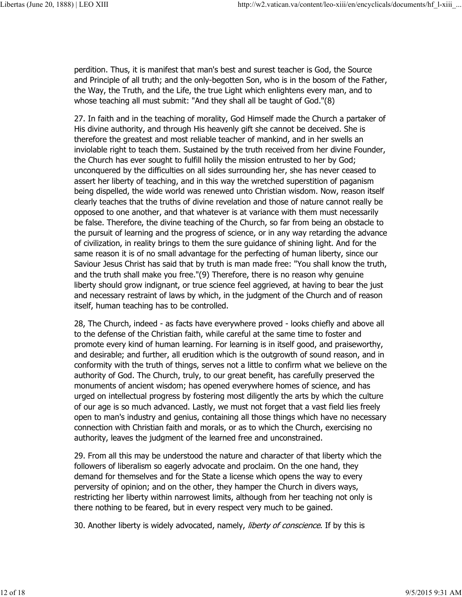perdition. Thus, it is manifest that man's best and surest teacher is God, the Source and Principle of all truth; and the only-begotten Son, who is in the bosom of the Father, the Way, the Truth, and the Life, the true Light which enlightens every man, and to whose teaching all must submit: "And they shall all be taught of God."(8)

27. In faith and in the teaching of morality, God Himself made the Church a partaker of His divine authority, and through His heavenly gift she cannot be deceived. She is therefore the greatest and most reliable teacher of mankind, and in her swells an inviolable right to teach them. Sustained by the truth received from her divine Founder, the Church has ever sought to fulfill holily the mission entrusted to her by God; unconquered by the difficulties on all sides surrounding her, she has never ceased to assert her liberty of teaching, and in this way the wretched superstition of paganism being dispelled, the wide world was renewed unto Christian wisdom. Now, reason itself clearly teaches that the truths of divine revelation and those of nature cannot really be opposed to one another, and that whatever is at variance with them must necessarily be false. Therefore, the divine teaching of the Church, so far from being an obstacle to the pursuit of learning and the progress of science, or in any way retarding the advance of civilization, in reality brings to them the sure guidance of shining light. And for the same reason it is of no small advantage for the perfecting of human liberty, since our Saviour Jesus Christ has said that by truth is man made free: "You shall know the truth, and the truth shall make you free."(9) Therefore, there is no reason why genuine liberty should grow indignant, or true science feel aggrieved, at having to bear the just and necessary restraint of laws by which, in the judgment of the Church and of reason itself, human teaching has to be controlled.

28, The Church, indeed - as facts have everywhere proved - looks chiefly and above all to the defense of the Christian faith, while careful at the same time to foster and promote every kind of human learning. For learning is in itself good, and praiseworthy, and desirable; and further, all erudition which is the outgrowth of sound reason, and in conformity with the truth of things, serves not a little to confirm what we believe on the authority of God. The Church, truly, to our great benefit, has carefully preserved the monuments of ancient wisdom; has opened everywhere homes of science, and has urged on intellectual progress by fostering most diligently the arts by which the culture of our age is so much advanced. Lastly, we must not forget that a vast field lies freely open to man's industry and genius, containing all those things which have no necessary connection with Christian faith and morals, or as to which the Church, exercising no authority, leaves the judgment of the learned free and unconstrained.

29. From all this may be understood the nature and character of that liberty which the followers of liberalism so eagerly advocate and proclaim. On the one hand, they demand for themselves and for the State a license which opens the way to every perversity of opinion; and on the other, they hamper the Church in divers ways, restricting her liberty within narrowest limits, although from her teaching not only is there nothing to be feared, but in every respect very much to be gained.

30. Another liberty is widely advocated, namely, *liberty of conscience*. If by this is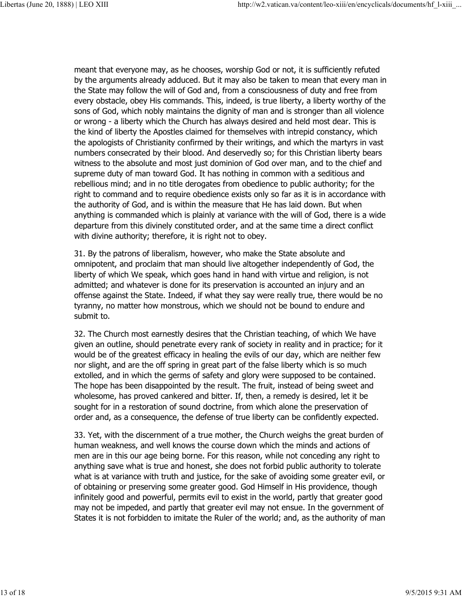meant that everyone may, as he chooses, worship God or not, it is sufficiently refuted by the arguments already adduced. But it may also be taken to mean that every man in the State may follow the will of God and, from a consciousness of duty and free from every obstacle, obey His commands. This, indeed, is true liberty, a liberty worthy of the sons of God, which nobly maintains the dignity of man and is stronger than all violence or wrong - a liberty which the Church has always desired and held most dear. This is the kind of liberty the Apostles claimed for themselves with intrepid constancy, which the apologists of Christianity confirmed by their writings, and which the martyrs in vast numbers consecrated by their blood. And deservedly so; for this Christian liberty bears witness to the absolute and most just dominion of God over man, and to the chief and supreme duty of man toward God. It has nothing in common with a seditious and rebellious mind; and in no title derogates from obedience to public authority; for the right to command and to require obedience exists only so far as it is in accordance with the authority of God, and is within the measure that He has laid down. But when anything is commanded which is plainly at variance with the will of God, there is a wide departure from this divinely constituted order, and at the same time a direct conflict with divine authority; therefore, it is right not to obey.

31. By the patrons of liberalism, however, who make the State absolute and omnipotent, and proclaim that man should live altogether independently of God, the liberty of which We speak, which goes hand in hand with virtue and religion, is not admitted; and whatever is done for its preservation is accounted an injury and an offense against the State. Indeed, if what they say were really true, there would be no tyranny, no matter how monstrous, which we should not be bound to endure and submit to.

32. The Church most earnestly desires that the Christian teaching, of which We have given an outline, should penetrate every rank of society in reality and in practice; for it would be of the greatest efficacy in healing the evils of our day, which are neither few nor slight, and are the off spring in great part of the false liberty which is so much extolled, and in which the germs of safety and glory were supposed to be contained. The hope has been disappointed by the result. The fruit, instead of being sweet and wholesome, has proved cankered and bitter. If, then, a remedy is desired, let it be sought for in a restoration of sound doctrine, from which alone the preservation of order and, as a consequence, the defense of true liberty can be confidently expected.

33. Yet, with the discernment of a true mother, the Church weighs the great burden of human weakness, and well knows the course down which the minds and actions of men are in this our age being borne. For this reason, while not conceding any right to anything save what is true and honest, she does not forbid public authority to tolerate what is at variance with truth and justice, for the sake of avoiding some greater evil, or of obtaining or preserving some greater good. God Himself in His providence, though infinitely good and powerful, permits evil to exist in the world, partly that greater good may not be impeded, and partly that greater evil may not ensue. In the government of States it is not forbidden to imitate the Ruler of the world; and, as the authority of man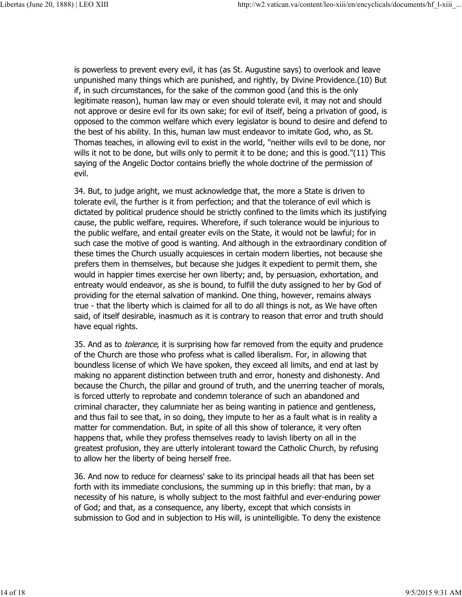is powerless to prevent every evil, it has (as St. Augustine says) to overlook and leave unpunished many things which are punished, and rightly, by Divine Providence.(10) But if, in such circumstances, for the sake of the common good (and this is the only legitimate reason), human law may or even should tolerate evil, it may not and should not approve or desire evil for its own sake; for evil of itself, being a privation of good, is opposed to the common welfare which every legislator is bound to desire and defend to the best of his ability. In this, human law must endeavor to imitate God, who, as St. Thomas teaches, in allowing evil to exist in the world, "neither wills evil to be done, nor wills it not to be done, but wills only to permit it to be done; and this is good."(11) This saying of the Angelic Doctor contains briefly the whole doctrine of the permission of evil.

34. But, to judge aright, we must acknowledge that, the more a State is driven to tolerate evil, the further is it from perfection; and that the tolerance of evil which is dictated by political prudence should be strictly confined to the limits which its justifying cause, the public welfare, requires. Wherefore, if such tolerance would be injurious to the public welfare, and entail greater evils on the State, it would not be lawful; for in such case the motive of good is wanting. And although in the extraordinary condition of these times the Church usually acquiesces in certain modern liberties, not because she prefers them in themselves, but because she judges it expedient to permit them, she would in happier times exercise her own liberty; and, by persuasion, exhortation, and entreaty would endeavor, as she is bound, to fulfill the duty assigned to her by God of providing for the eternal salvation of mankind. One thing, however, remains always true - that the liberty which is claimed for all to do all things is not, as We have often said, of itself desirable, inasmuch as it is contrary to reason that error and truth should have equal rights.

35. And as to *tolerance*, it is surprising how far removed from the equity and prudence of the Church are those who profess what is called liberalism. For, in allowing that boundless license of which We have spoken, they exceed all limits, and end at last by making no apparent distinction between truth and error, honesty and dishonesty. And because the Church, the pillar and ground of truth, and the unerring teacher of morals, is forced utterly to reprobate and condemn tolerance of such an abandoned and criminal character, they calumniate her as being wanting in patience and gentleness, and thus fail to see that, in so doing, they impute to her as a fault what is in reality a matter for commendation. But, in spite of all this show of tolerance, it very often happens that, while they profess themselves ready to lavish liberty on all in the greatest profusion, they are utterly intolerant toward the Catholic Church, by refusing to allow her the liberty of being herself free.

36. And now to reduce for clearness' sake to its principal heads all that has been set forth with its immediate conclusions, the summing up in this briefly: that man, by a necessity of his nature, is wholly subject to the most faithful and ever-enduring power of God; and that, as a consequence, any liberty, except that which consists in submission to God and in subjection to His will, is unintelligible. To deny the existence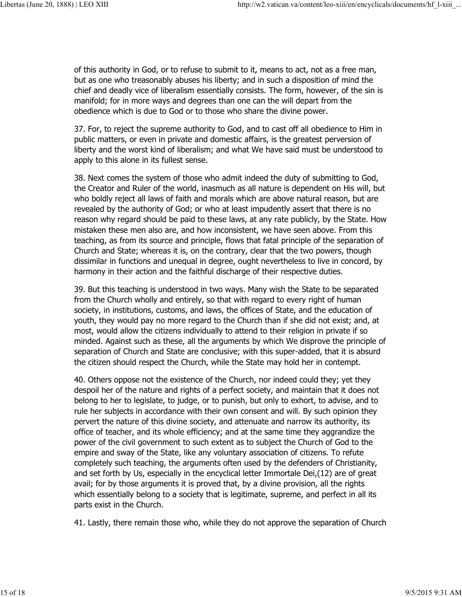of this authority in God, or to refuse to submit to it, means to act, not as a free man, but as one who treasonably abuses his liberty; and in such a disposition of mind the chief and deadly vice of liberalism essentially consists. The form, however, of the sin is manifold; for in more ways and degrees than one can the will depart from the obedience which is due to God or to those who share the divine power.

37. For, to reject the supreme authority to God, and to cast off all obedience to Him in public matters, or even in private and domestic affairs, is the greatest perversion of liberty and the worst kind of liberalism; and what We have said must be understood to apply to this alone in its fullest sense.

38. Next comes the system of those who admit indeed the duty of submitting to God, the Creator and Ruler of the world, inasmuch as all nature is dependent on His will, but who boldly reject all laws of faith and morals which are above natural reason, but are revealed by the authority of God; or who at least impudently assert that there is no reason why regard should be paid to these laws, at any rate publicly, by the State. How mistaken these men also are, and how inconsistent, we have seen above. From this teaching, as from its source and principle, flows that fatal principle of the separation of Church and State; whereas it is, on the contrary, clear that the two powers, though dissimilar in functions and unequal in degree, ought nevertheless to live in concord, by harmony in their action and the faithful discharge of their respective duties.

39. But this teaching is understood in two ways. Many wish the State to be separated from the Church wholly and entirely, so that with regard to every right of human society, in institutions, customs, and laws, the offices of State, and the education of youth, they would pay no more regard to the Church than if she did not exist; and, at most, would allow the citizens individually to attend to their religion in private if so minded. Against such as these, all the arguments by which We disprove the principle of separation of Church and State are conclusive; with this super-added, that it is absurd the citizen should respect the Church, while the State may hold her in contempt.

40. Others oppose not the existence of the Church, nor indeed could they; yet they despoil her of the nature and rights of a perfect society, and maintain that it does not belong to her to legislate, to judge, or to punish, but only to exhort, to advise, and to rule her subjects in accordance with their own consent and will. By such opinion they pervert the nature of this divine society, and attenuate and narrow its authority, its office of teacher, and its whole efficiency; and at the same time they aggrandize the power of the civil government to such extent as to subject the Church of God to the empire and sway of the State, like any voluntary association of citizens. To refute completely such teaching, the arguments often used by the defenders of Christianity, and set forth by Us, especially in the encyclical letter Immortale Dei,(12) are of great avail; for by those arguments it is proved that, by a divine provision, all the rights which essentially belong to a society that is legitimate, supreme, and perfect in all its parts exist in the Church.

41. Lastly, there remain those who, while they do not approve the separation of Church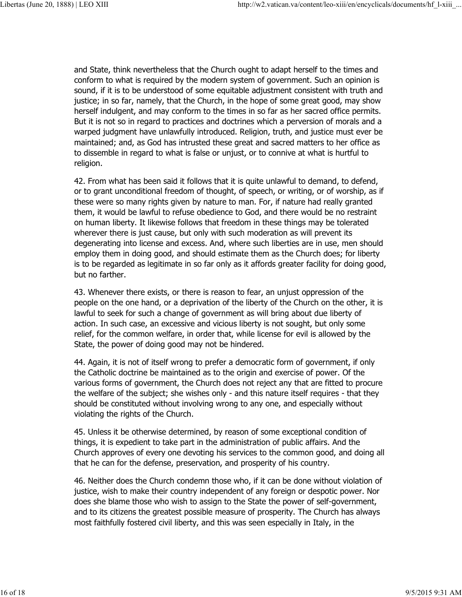and State, think nevertheless that the Church ought to adapt herself to the times and conform to what is required by the modern system of government. Such an opinion is sound, if it is to be understood of some equitable adjustment consistent with truth and justice; in so far, namely, that the Church, in the hope of some great good, may show herself indulgent, and may conform to the times in so far as her sacred office permits. But it is not so in regard to practices and doctrines which a perversion of morals and a warped judgment have unlawfully introduced. Religion, truth, and justice must ever be maintained; and, as God has intrusted these great and sacred matters to her office as to dissemble in regard to what is false or unjust, or to connive at what is hurtful to religion.

42. From what has been said it follows that it is quite unlawful to demand, to defend, or to grant unconditional freedom of thought, of speech, or writing, or of worship, as if these were so many rights given by nature to man. For, if nature had really granted them, it would be lawful to refuse obedience to God, and there would be no restraint on human liberty. It likewise follows that freedom in these things may be tolerated wherever there is just cause, but only with such moderation as will prevent its degenerating into license and excess. And, where such liberties are in use, men should employ them in doing good, and should estimate them as the Church does; for liberty is to be regarded as legitimate in so far only as it affords greater facility for doing good, but no farther.

43. Whenever there exists, or there is reason to fear, an unjust oppression of the people on the one hand, or a deprivation of the liberty of the Church on the other, it is lawful to seek for such a change of government as will bring about due liberty of action. In such case, an excessive and vicious liberty is not sought, but only some relief, for the common welfare, in order that, while license for evil is allowed by the State, the power of doing good may not be hindered.

44. Again, it is not of itself wrong to prefer a democratic form of government, if only the Catholic doctrine be maintained as to the origin and exercise of power. Of the various forms of government, the Church does not reject any that are fitted to procure the welfare of the subject; she wishes only - and this nature itself requires - that they should be constituted without involving wrong to any one, and especially without violating the rights of the Church.

45. Unless it be otherwise determined, by reason of some exceptional condition of things, it is expedient to take part in the administration of public affairs. And the Church approves of every one devoting his services to the common good, and doing all that he can for the defense, preservation, and prosperity of his country.

46. Neither does the Church condemn those who, if it can be done without violation of justice, wish to make their country independent of any foreign or despotic power. Nor does she blame those who wish to assign to the State the power of self-government, and to its citizens the greatest possible measure of prosperity. The Church has always most faithfully fostered civil liberty, and this was seen especially in Italy, in the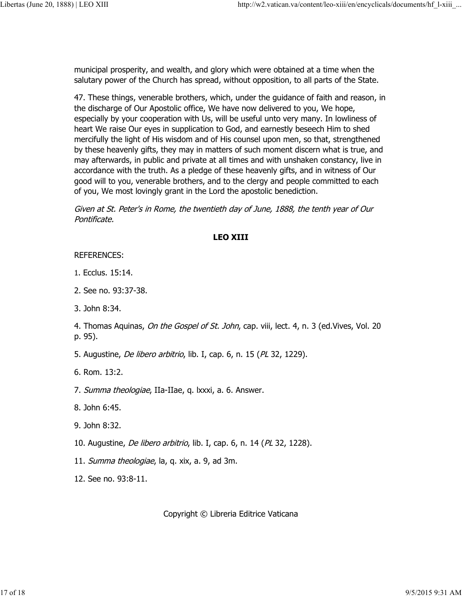municipal prosperity, and wealth, and glory which were obtained at a time when the salutary power of the Church has spread, without opposition, to all parts of the State.

47. These things, venerable brothers, which, under the guidance of faith and reason, in the discharge of Our Apostolic office, We have now delivered to you, We hope, especially by your cooperation with Us, will be useful unto very many. In lowliness of heart We raise Our eyes in supplication to God, and earnestly beseech Him to shed mercifully the light of His wisdom and of His counsel upon men, so that, strengthened by these heavenly gifts, they may in matters of such moment discern what is true, and may afterwards, in public and private at all times and with unshaken constancy, live in accordance with the truth. As a pledge of these heavenly gifts, and in witness of Our good will to you, venerable brothers, and to the clergy and people committed to each of you, We most lovingly grant in the Lord the apostolic benediction.

Given at St. Peter's in Rome, the twentieth day of June, 1888, the tenth year of Our Pontificate.

## **LEO XIII**

## REFERENCES:

- 1. Ecclus. 15:14.
- 2. See no. 93:37-38.
- 3. John 8:34.

4. Thomas Aquinas, On the Gospel of St. John, cap. viii, lect. 4, n. 3 (ed. Vives, Vol. 20 p. 95).

5. Augustine, De libero arbitrio, lib. I, cap. 6, n. 15 (PL 32, 1229).

- 6. Rom. 13:2.
- 7. Summa theologiae, IIa-IIae, q. lxxxi, a. 6. Answer.
- 8. John 6:45.
- 9. John 8:32.
- 10. Augustine, De libero arbitrio, lib. I, cap. 6, n. 14 (PL 32, 1228).
- 11. Summa theologiae, la, q. xix, a. 9, ad 3m.
- 12. See no. 93:8-11.

Copyright © Libreria Editrice Vaticana